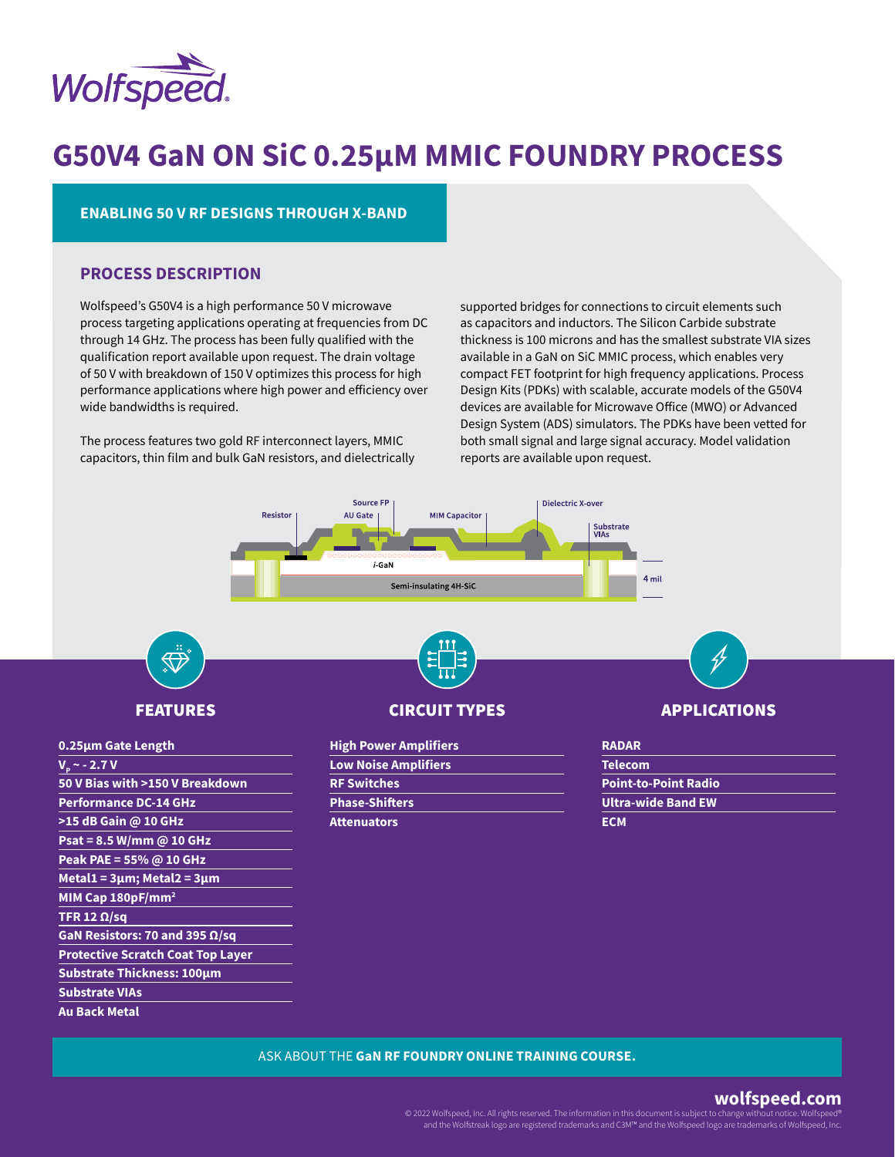

# **G50V4 GaN ON SiC 0.25µM MMIC FOUNDRY PROCESS**

### **ENABLING 50 V RF DESIGNS THROUGH X-BAND**

### **PROCESS DESCRIPTION**

**Peak PAE = 55% @ 10 GHz Metal1 = 3μm; Metal2 = 3μm MIM Cap 180pF/mm2**

**GaN Resistors: 70 and 395 Ω/sq Protective Scratch Coat Top Layer Substrate Thickness: 100μm**

**TFR 12 Ω/sq**

**Substrate VIAs Au Back Metal**

Wolfspeed's G50V4 is a high performance 50 V microwave process targeting applications operating at frequencies from DC through 14 GHz. The process has been fully qualified with the qualification report available upon request. The drain voltage of 50 V with breakdown of 150 V optimizes this process for high performance applications where high power and efficiency over wide bandwidths is required.

The process features two gold RF interconnect layers, MMIC capacitors, thin film and bulk GaN resistors, and dielectrically supported bridges for connections to circuit elements such as capacitors and inductors. The Silicon Carbide substrate thickness is 100 microns and has the smallest substrate VIA sizes available in a GaN on SiC MMIC process, which enables very compact FET footprint for high frequency applications. Process Design Kits (PDKs) with scalable, accurate models of the G50V4 devices are available for Microwave Office (MWO) or Advanced Design System (ADS) simulators. The PDKs have been vetted for both small signal and large signal accuracy. Model validation reports are available upon request.



### ASK ABOUT THE **GaN RF FOUNDRY ONLINE TRAINING COURSE.**

# **wolfspeed.com**

© 2022 Wolfspeed, Inc. All rights reserved. The information in this document is subject to change with and the Wolfstreak logo are registered trademarks and C3M™ and the Wolfspeed logo are trademarks of Wolfspeed, Inc.